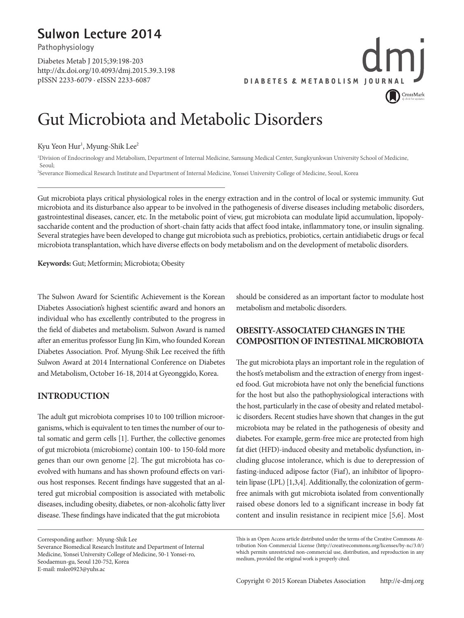## **Sulwon Lecture 2014**

**Pathophysiology**

Diabetes Metab J 2015;39:198-203 http://dx.doi.org/10.4093/dmj.2015.39.3.198 pISSN 2233-6079 · eISSN 2233-6087



## Gut Microbiota and Metabolic Disorders

#### Kyu Yeon Hur<sup>1</sup>, Myung-Shik Lee<sup>2</sup>

1 Division of Endocrinology and Metabolism, Department of Internal Medicine, Samsung Medical Center, Sungkyunkwan University School of Medicine, Seoul; 2 Severance Biomedical Research Institute and Department of Internal Medicine, Yonsei University College of Medicine, Seoul, Korea

Gut microbiota plays critical physiological roles in the energy extraction and in the control of local or systemic immunity. Gut microbiota and its disturbance also appear to be involved in the pathogenesis of diverse diseases including metabolic disorders, gastrointestinal diseases, cancer, etc. In the metabolic point of view, gut microbiota can modulate lipid accumulation, lipopolysaccharide content and the production of short-chain fatty acids that affect food intake, inflammatory tone, or insulin signaling. Several strategies have been developed to change gut microbiota such as prebiotics, probiotics, certain antidiabetic drugs or fecal microbiota transplantation, which have diverse effects on body metabolism and on the development of metabolic disorders.

**Keywords:** Gut; Metformin; Microbiota; Obesity

The Sulwon Award for Scientific Achievement is the Korean Diabetes Association's highest scientific award and honors an individual who has excellently contributed to the progress in the field of diabetes and metabolism. Sulwon Award is named after an emeritus professor Eung Jin Kim, who founded Korean Diabetes Association. Prof. Myung-Shik Lee received the fifth Sulwon Award at 2014 International Conference on Diabetes and Metabolism, October 16-18, 2014 at Gyeonggido, Korea.

#### **INTRODUCTION**

The adult gut microbiota comprises 10 to 100 trillion microorganisms, which is equivalent to ten times the number of our total somatic and germ cells [1]. Further, the collective genomes of gut microbiota (microbiome) contain 100- to 150-fold more genes than our own genome [2]. The gut microbiota has coevolved with humans and has shown profound effects on various host responses. Recent findings have suggested that an altered gut microbial composition is associated with metabolic diseases, including obesity, diabetes, or non-alcoholic fatty liver disease. These findings have indicated that the gut microbiota

Corresponding author: Myung-Shik Lee Severance Biomedical Research Institute and Department of Internal Medicine, Yonsei University College of Medicine, 50-1 Yonsei-ro, Seodaemun-gu, Seoul 120-752, Korea E-mail: mslee0923@yuhs.ac

should be considered as an important factor to modulate host metabolism and metabolic disorders.

### **OBESITY-ASSOCIATED CHANGES IN THE COMPOSITION OF INTESTINAL MICROBIOTA**

The gut microbiota plays an important role in the regulation of the host's metabolism and the extraction of energy from ingested food. Gut microbiota have not only the beneficial functions for the host but also the pathophysiological interactions with the host, particularly in the case of obesity and related metabolic disorders. Recent studies have shown that changes in the gut microbiota may be related in the pathogenesis of obesity and diabetes. For example, germ-free mice are protected from high fat diet (HFD)-induced obesity and metabolic dysfunction, including glucose intolerance, which is due to derepression of fasting-induced adipose factor (Fiaf), an inhibitor of lipoprotein lipase (LPL) [1,3,4]. Additionally, the colonization of germfree animals with gut microbiota isolated from conventionally raised obese donors led to a significant increase in body fat content and insulin resistance in recipient mice [5,6]. Most

This is an Open Access article distributed under the terms of the Creative Commons Attribution Non-Commercial License (http://creativecommons.org/licenses/by-nc/3.0/) which permits unrestricted non-commercial use, distribution, and reproduction in any medium, provided the original work is properly cited.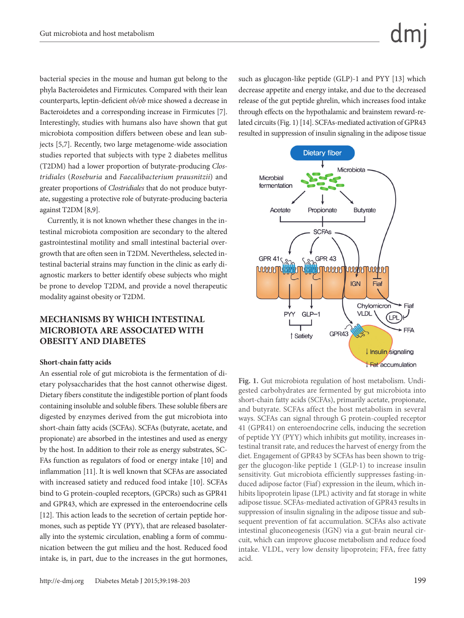bacterial species in the mouse and human gut belong to the phyla Bacteroidetes and Firmicutes. Compared with their lean counterparts, leptin-deficient *ob/ob* mice showed a decrease in Bacteroidetes and a corresponding increase in Firmicutes [7]. Interestingly, studies with humans also have shown that gut microbiota composition differs between obese and lean subjects [5,7]. Recently, two large metagenome-wide association studies reported that subjects with type 2 diabetes mellitus (T2DM) had a lower proportion of butyrate-producing *Clostridiales* (*Roseburia* and *Faecalibacterium prausnitzii*) and greater proportions of *Clostridiales* that do not produce butyrate, suggesting a protective role of butyrate-producing bacteria against T2DM [8,9].

Currently, it is not known whether these changes in the intestinal microbiota composition are secondary to the altered gastrointestinal motility and small intestinal bacterial overgrowth that are often seen in T2DM. Nevertheless, selected intestinal bacterial strains may function in the clinic as early diagnostic markers to better identify obese subjects who might be prone to develop T2DM, and provide a novel therapeutic modality against obesity or T2DM.

#### **MECHANISMS BY WHICH INTESTINAL MICROBIOTA ARE ASSOCIATED WITH OBESITY AND DIABETES**

#### **Short-chain fatty acids**

An essential role of gut microbiota is the fermentation of dietary polysaccharides that the host cannot otherwise digest. Dietary fibers constitute the indigestible portion of plant foods containing insoluble and soluble fibers. These soluble fibers are digested by enzymes derived from the gut microbiota into short-chain fatty acids (SCFAs). SCFAs (butyrate, acetate, and propionate) are absorbed in the intestines and used as energy by the host. In addition to their role as energy substrates, SC-FAs function as regulators of food or energy intake [10] and inflammation [11]. It is well known that SCFAs are associated with increased satiety and reduced food intake [10]. SCFAs bind to G protein-coupled receptors, (GPCRs) such as GPR41 and GPR43, which are expressed in the enteroendocrine cells [12]. This action leads to the secretion of certain peptide hormones, such as peptide YY (PYY), that are released basolaterally into the systemic circulation, enabling a form of communication between the gut milieu and the host. Reduced food intake is, in part, due to the increases in the gut hormones,

such as glucagon-like peptide (GLP)-1 and PYY [13] which decrease appetite and energy intake, and due to the decreased release of the gut peptide ghrelin, which increases food intake through effects on the hypothalamic and brainstem reward-related circuits (Fig. 1) [14]. SCFAs-mediated activation of GPR43 resulted in suppression of insulin signaling in the adipose tissue



**Fig. 1.** Gut microbiota regulation of host metabolism. Undigested carbohydrates are fermented by gut microbiota into short-chain fatty acids (SCFAs), primarily acetate, propionate, and butyrate. SCFAs affect the host metabolism in several ways. SCFAs can signal through G protein-coupled receptor 41 (GPR41) on enteroendocrine cells, inducing the secretion of peptide YY (PYY) which inhibits gut motility, increases intestinal transit rate, and reduces the harvest of energy from the diet. Engagement of GPR43 by SCFAs has been shown to trigger the glucogon-like peptide 1 (GLP-1) to increase insulin sensitivity. Gut microbiota efficiently suppresses fasting-induced adipose factor (Fiaf) expression in the ileum, which inhibits lipoprotein lipase (LPL) activity and fat storage in white adipose tissue. SCFAs-mediated activation of GPR43 results in suppression of insulin signaling in the adipose tissue and subsequent prevention of fat accumulation. SCFAs also activate intestinal gluconeogenesis (IGN) via a gut-brain neural circuit, which can improve glucose metabolism and reduce food intake. VLDL, very low density lipoprotein; FFA, free fatty acid.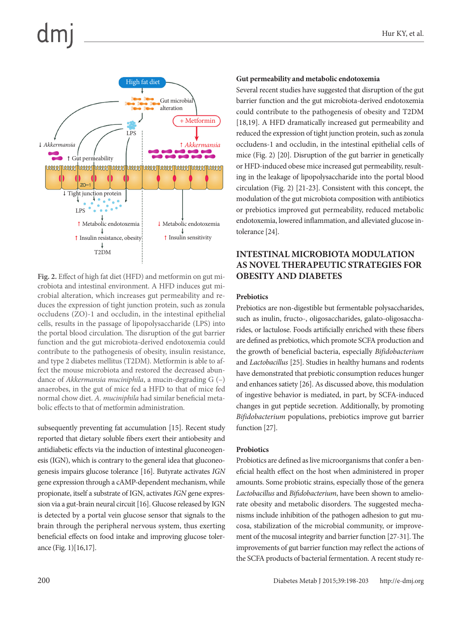

**Fig. 2.** Effect of high fat diet (HFD) and metformin on gut microbiota and intestinal environment. A HFD induces gut microbial alteration, which increases gut permeability and reduces the expression of tight junction protein, such as zonula occludens (ZO)-1 and occludin, in the intestinal epithelial cells, results in the passage of lipopolysaccharide (LPS) into the portal blood circulation. The disruption of the gut barrier function and the gut microbiota-derived endotoxemia could contribute to the pathogenesis of obesity, insulin resistance, and type 2 diabetes mellitus (T2DM). Metformin is able to affect the mouse microbiota and restored the decreased abundance of *Akkermansia muciniphila*, a mucin-degrading G (–) anaerobes, in the gut of mice fed a HFD to that of mice fed normal chow diet. *A. muciniphila* had similar beneficial metabolic effects to that of metformin administration.

subsequently preventing fat accumulation [15]. Recent study reported that dietary soluble fibers exert their antiobesity and antidiabetic effects via the induction of intestinal gluconeogenesis (IGN), which is contrary to the general idea that gluconeogenesis impairs glucose tolerance [16]. Butyrate activates *IGN* gene expression through a cAMP-dependent mechanism, while propionate, itself a substrate of IGN, activates *IGN* gene expression via a gut-brain neural circuit [16]. Glucose released by IGN is detected by a portal vein glucose sensor that signals to the brain through the peripheral nervous system, thus exerting beneficial effects on food intake and improving glucose tolerance (Fig. 1)[16,17].

#### **Gut permeability and metabolic endotoxemia**

Several recent studies have suggested that disruption of the gut barrier function and the gut microbiota-derived endotoxemia could contribute to the pathogenesis of obesity and T2DM [18,19]. A HFD dramatically increased gut permeability and reduced the expression of tight junction protein, such as zonula occludens-1 and occludin, in the intestinal epithelial cells of mice (Fig. 2) [20]. Disruption of the gut barrier in genetically or HFD-induced obese mice increased gut permeability, resulting in the leakage of lipopolysaccharide into the portal blood circulation (Fig. 2) [21-23]. Consistent with this concept, the modulation of the gut microbiota composition with antibiotics or prebiotics improved gut permeability, reduced metabolic endotoxemia, lowered inflammation, and alleviated glucose intolerance [24].

#### **INTESTINAL MICROBIOTA MODULATION AS NOVEL THERAPEUTIC STRATEGIES FOR OBESITY AND DIABETES**

#### **Prebiotics**

Prebiotics are non-digestible but fermentable polysaccharides, such as inulin, fructo-, oligosaccharides, galato-oligosaccharides, or lactulose. Foods artificially enriched with these fibers are defined as prebiotics, which promote SCFA production and the growth of beneficial bacteria, especially *Bifidobacterium* and *Lactobacillus* [25]. Studies in healthy humans and rodents have demonstrated that prebiotic consumption reduces hunger and enhances satiety [26]. As discussed above, this modulation of ingestive behavior is mediated, in part, by SCFA-induced changes in gut peptide secretion. Additionally, by promoting *Bifidobacterium* populations, prebiotics improve gut barrier function [27].

#### **Probiotics**

Probiotics are defined as live microorganisms that confer a beneficial health effect on the host when administered in proper amounts. Some probiotic strains, especially those of the genera *Lactobacillus* and *Bifidobacterium*, have been shown to ameliorate obesity and metabolic disorders. The suggested mechanisms include inhibition of the pathogen adhesion to gut mucosa, stabilization of the microbial community, or improvement of the mucosal integrity and barrier function [27-31]. The improvements of gut barrier function may reflect the actions of the SCFA products of bacterial fermentation. A recent study re-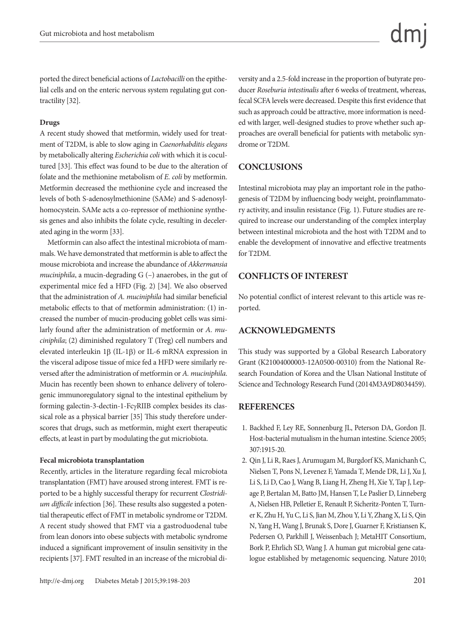ported the direct beneficial actions of *Lactobacilli* on the epithelial cells and on the enteric nervous system regulating gut contractility [32].

#### **Drugs**

A recent study showed that metformin, widely used for treatment of T2DM, is able to slow aging in *Caenorhabditis elegans*  by metabolically altering *Escherichia coli* with which it is cocultured [33]. This effect was found to be due to the alteration of folate and the methionine metabolism of *E. coli* by metformin. Metformin decreased the methionine cycle and increased the levels of both S-adenosylmethionine (SAMe) and S-adenosylhomocystein. SAMe acts a co-repressor of methionine synthesis genes and also inhibits the folate cycle, resulting in decelerated aging in the worm [33].

Metformin can also affect the intestinal microbiota of mammals. We have demonstrated that metformin is able to affect the mouse microbiota and increase the abundance of *Akkermansia muciniphila*, a mucin-degrading G (–) anaerobes, in the gut of experimental mice fed a HFD (Fig. 2) [34]. We also observed that the administration of *A. muciniphila* had similar beneficial metabolic effects to that of metformin administration: (1) increased the number of mucin-producing goblet cells was similarly found after the administration of metformin or *A. muciniphila*; (2) diminished regulatory T (Treg) cell numbers and elevated interleukin 1β (IL-1β) or IL-6 mRNA expression in the visceral adipose tissue of mice fed a HFD were similarly reversed after the administration of metformin or *A. muciniphila*. Mucin has recently been shown to enhance delivery of tolerogenic immunoregulatory signal to the intestinal epithelium by forming galectin-3-dectin-1-FcγRIIB complex besides its classical role as a physical barrier [35] This study therefore underscores that drugs, such as metformin, might exert therapeutic effects, at least in part by modulating the gut micriobiota.

#### **Fecal microbiota transplantation**

Recently, articles in the literature regarding fecal microbiota transplantation (FMT) have aroused strong interest. FMT is reported to be a highly successful therapy for recurrent *Clostridium difficile* infection [36]. These results also suggested a potential therapeutic effect of FMT in metabolic syndrome or T2DM. A recent study showed that FMT via a gastroduodenal tube from lean donors into obese subjects with metabolic syndrome induced a significant improvement of insulin sensitivity in the recipients [37]. FMT resulted in an increase of the microbial diversity and a 2.5-fold increase in the proportion of butyrate producer *Roseburia intestinalis* after 6 weeks of treatment, whereas, fecal SCFA levels were decreased. Despite this first evidence that such as approach could be attractive, more information is needed with larger, well-designed studies to prove whether such approaches are overall beneficial for patients with metabolic syndrome or T2DM.

#### **CONCLUSIONS**

Intestinal microbiota may play an important role in the pathogenesis of T2DM by influencing body weight, proinflammatory activity, and insulin resistance (Fig. 1). Future studies are required to increase our understanding of the complex interplay between intestinal microbiota and the host with T2DM and to enable the development of innovative and effective treatments for T2DM.

#### **CONFLICTS OF INTEREST**

No potential conflict of interest relevant to this article was reported.

#### **ACKNOWLEDGMENTS**

This study was supported by a Global Research Laboratory Grant (K21004000003-12A0500-00310) from the National Research Foundation of Korea and the Ulsan National Institute of Science and Technology Research Fund (2014M3A9D8034459).

#### **REFERENCES**

- 1. Backhed F, Ley RE, Sonnenburg JL, Peterson DA, Gordon JI. Host-bacterial mutualism in the human intestine. Science 2005; 307:1915-20.
- 2. Qin J, Li R, Raes J, Arumugam M, Burgdorf KS, Manichanh C, Nielsen T, Pons N, Levenez F, Yamada T, Mende DR, Li J, Xu J, Li S, Li D, Cao J, Wang B, Liang H, Zheng H, Xie Y, Tap J, Lepage P, Bertalan M, Batto JM, Hansen T, Le Paslier D, Linneberg A, Nielsen HB, Pelletier E, Renault P, Sicheritz-Ponten T, Turner K, Zhu H, Yu C, Li S, Jian M, Zhou Y, Li Y, Zhang X, Li S, Qin N, Yang H, Wang J, Brunak S, Dore J, Guarner F, Kristiansen K, Pedersen O, Parkhill J, Weissenbach J; MetaHIT Consortium, Bork P, Ehrlich SD, Wang J. A human gut microbial gene catalogue established by metagenomic sequencing. Nature 2010;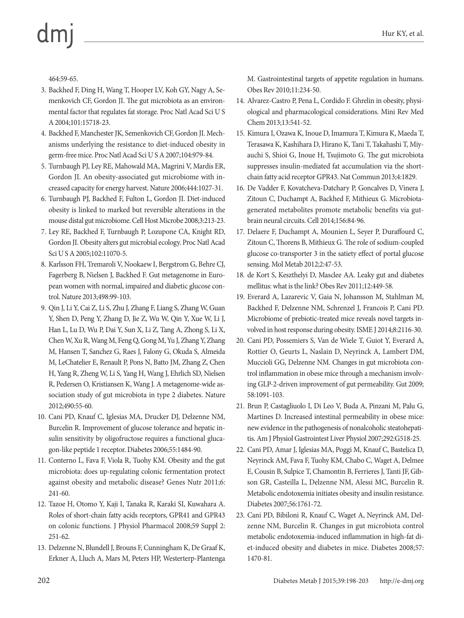# $dm$

464:59-65.

- 3. Backhed F, Ding H, Wang T, Hooper LV, Koh GY, Nagy A, Semenkovich CF, Gordon JI. The gut microbiota as an environmental factor that regulates fat storage. Proc Natl Acad Sci U S A 2004;101:15718-23.
- 4. Backhed F, Manchester JK, Semenkovich CF, Gordon JI. Mechanisms underlying the resistance to diet-induced obesity in germ-free mice. Proc Natl Acad Sci U S A 2007;104:979-84.
- 5. Turnbaugh PJ, Ley RE, Mahowald MA, Magrini V, Mardis ER, Gordon JI. An obesity-associated gut microbiome with increased capacity for energy harvest. Nature 2006;444:1027-31.
- 6. Turnbaugh PJ, Backhed F, Fulton L, Gordon JI. Diet-induced obesity is linked to marked but reversible alterations in the mouse distal gut microbiome. Cell Host Microbe 2008;3:213-23.
- 7. Ley RE, Backhed F, Turnbaugh P, Lozupone CA, Knight RD, Gordon JI. Obesity alters gut microbial ecology. Proc Natl Acad Sci U S A 2005;102:11070-5.
- 8. Karlsson FH, Tremaroli V, Nookaew I, Bergstrom G, Behre CJ, Fagerberg B, Nielsen J, Backhed F. Gut metagenome in European women with normal, impaired and diabetic glucose control. Nature 2013;498:99-103.
- 9. Qin J, Li Y, Cai Z, Li S, Zhu J, Zhang F, Liang S, Zhang W, Guan Y, Shen D, Peng Y, Zhang D, Jie Z, Wu W, Qin Y, Xue W, Li J, Han L, Lu D, Wu P, Dai Y, Sun X, Li Z, Tang A, Zhong S, Li X, Chen W, Xu R, Wang M, Feng Q, Gong M, Yu J, Zhang Y, Zhang M, Hansen T, Sanchez G, Raes J, Falony G, Okuda S, Almeida M, LeChatelier E, Renault P, Pons N, Batto JM, Zhang Z, Chen H, Yang R, Zheng W, Li S, Yang H, Wang J, Ehrlich SD, Nielsen R, Pedersen O, Kristiansen K, Wang J. A metagenome-wide association study of gut microbiota in type 2 diabetes. Nature 2012;490:55-60.
- 10. Cani PD, Knauf C, Iglesias MA, Drucker DJ, Delzenne NM, Burcelin R. Improvement of glucose tolerance and hepatic insulin sensitivity by oligofructose requires a functional glucagon-like peptide 1 receptor. Diabetes 2006;55:1484-90.
- 11. Conterno L, Fava F, Viola R, Tuohy KM. Obesity and the gut microbiota: does up-regulating colonic fermentation protect against obesity and metabolic disease? Genes Nutr 2011;6: 241-60.
- 12. Tazoe H, Otomo Y, Kaji I, Tanaka R, Karaki SI, Kuwahara A. Roles of short-chain fatty acids receptors, GPR41 and GPR43 on colonic functions. J Physiol Pharmacol 2008;59 Suppl 2: 251-62.
- 13. Delzenne N, Blundell J, Brouns F, Cunningham K, De Graaf K, Erkner A, Lluch A, Mars M, Peters HP, Westerterp-Plantenga

M. Gastrointestinal targets of appetite regulation in humans. Obes Rev 2010;11:234-50.

- 14. Alvarez-Castro P, Pena L, Cordido F. Ghrelin in obesity, physiological and pharmacological considerations. Mini Rev Med Chem 2013;13:541-52.
- 15. Kimura I, Ozawa K, Inoue D, Imamura T, Kimura K, Maeda T, Terasawa K, Kashihara D, Hirano K, Tani T, Takahashi T, Miyauchi S, Shioi G, Inoue H, Tsujimoto G. The gut microbiota suppresses insulin-mediated fat accumulation via the shortchain fatty acid receptor GPR43. Nat Commun 2013;4:1829.
- 16. De Vadder F, Kovatcheva-Datchary P, Goncalves D, Vinera J, Zitoun C, Duchampt A, Backhed F, Mithieux G. Microbiotagenerated metabolites promote metabolic benefits via gutbrain neural circuits. Cell 2014;156:84-96.
- 17. Delaere F, Duchampt A, Mounien L, Seyer P, Duraffourd C, Zitoun C, Thorens B, Mithieux G. The role of sodium-coupled glucose co-transporter 3 in the satiety effect of portal glucose sensing. Mol Metab 2012;2:47-53.
- 18. de Kort S, Keszthelyi D, Masclee AA. Leaky gut and diabetes mellitus: what is the link? Obes Rev 2011;12:449-58.
- 19. Everard A, Lazarevic V, Gaia N, Johansson M, Stahlman M, Backhed F, Delzenne NM, Schrenzel J, Francois P, Cani PD. Microbiome of prebiotic-treated mice reveals novel targets involved in host response during obesity. ISME J 2014;8:2116-30.
- 20. Cani PD, Possemiers S, Van de Wiele T, Guiot Y, Everard A, Rottier O, Geurts L, Naslain D, Neyrinck A, Lambert DM, Muccioli GG, Delzenne NM. Changes in gut microbiota control inflammation in obese mice through a mechanism involving GLP-2-driven improvement of gut permeability. Gut 2009; 58:1091-103.
- 21. Brun P, Castagliuolo I, Di Leo V, Buda A, Pinzani M, Palu G, Martines D. Increased intestinal permeability in obese mice: new evidence in the pathogenesis of nonalcoholic steatohepatitis. Am J Physiol Gastrointest Liver Physiol 2007;292:G518-25.
- 22. Cani PD, Amar J, Iglesias MA, Poggi M, Knauf C, Bastelica D, Neyrinck AM, Fava F, Tuohy KM, Chabo C, Waget A, Delmee E, Cousin B, Sulpice T, Chamontin B, Ferrieres J, Tanti JF, Gibson GR, Casteilla L, Delzenne NM, Alessi MC, Burcelin R. Metabolic endotoxemia initiates obesity and insulin resistance. Diabetes 2007;56:1761-72.
- 23. Cani PD, Bibiloni R, Knauf C, Waget A, Neyrinck AM, Delzenne NM, Burcelin R. Changes in gut microbiota control metabolic endotoxemia-induced inflammation in high-fat diet-induced obesity and diabetes in mice. Diabetes 2008;57: 1470-81.